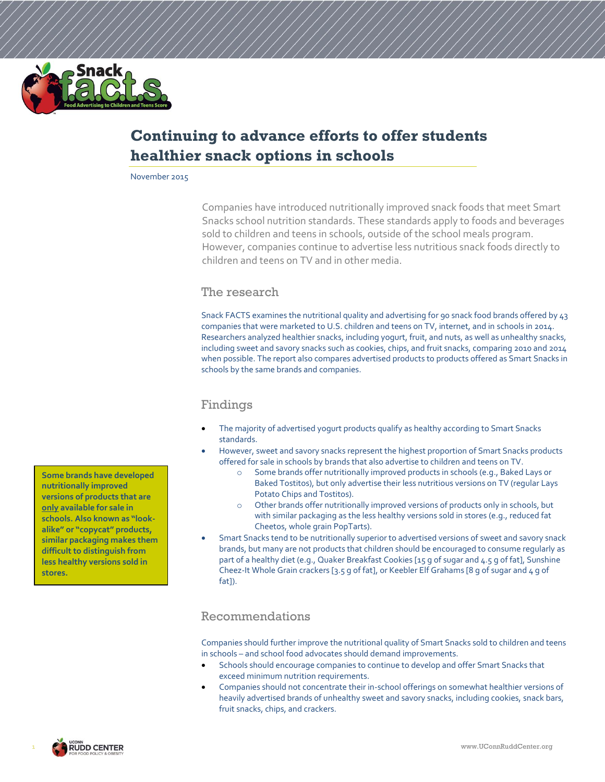

# **Continuing to advance efforts to offer students healthier snack options in schools**

November 2015

Companies have introduced nutritionally improved snack foods that meet Smart Snacks school nutrition standards. These standards apply to foods and beverages sold to children and teens in schools, outside of the school meals program. However, companies continue to advertise less nutritious snack foods directly to children and teens on TV and in other media.

#### The research

Snack FACTS examines the nutritional quality and advertising for 90 snack food brands offered by 43 companies that were marketed to U.S. children and teens on TV, internet, and in schools in 2014. Researchers analyzed healthier snacks, including yogurt, fruit, and nuts, as well as unhealthy snacks, including sweet and savory snacks such as cookies, chips, and fruit snacks, comparing 2010 and 2014 when possible. The report also compares advertised products to products offered as Smart Snacks in schools by the same brands and companies.

### Findings

- The majority of advertised yogurt products qualify as healthy according to Smart Snacks standards.
- However, sweet and savory snacks represent the highest proportion of Smart Snacks products offered for sale in schools by brands that also advertise to children and teens on TV.
	- o Some brands offer nutritionally improved products in schools (e.g., Baked Lays or Baked Tostitos), but only advertise their less nutritious versions on TV (regular Lays Potato Chips and Tostitos).
	- o Other brands offer nutritionally improved versions of products only in schools, but with similar packaging as the less healthy versions sold in stores (e.g., reduced fat Cheetos, whole grain PopTarts).
- Smart Snacks tend to be nutritionally superior to advertised versions of sweet and savory snack brands, but many are not products that children should be encouraged to consume regularly as part of a healthy diet (e.g., Quaker Breakfast Cookies [15 g of sugar and 4.5 g of fat], Sunshine Cheez-It Whole Grain crackers [3.5 g of fat], or Keebler Elf Grahams [8 g of sugar and 4 g of fat]).

### Recommendations

Companies should further improve the nutritional quality of Smart Snacks sold to children and teens in schools – and school food advocates should demand improvements.

- Schools should encourage companies to continue to develop and offer Smart Snacks that exceed minimum nutrition requirements.
- Companies should not concentrate their in-school offerings on somewhat healthier versions of heavily advertised brands of unhealthy sweet and savory snacks, including cookies, snack bars, fruit snacks, chips, and crackers.

**Some brands have developed nutritionally improved versions of products that are only available for sale in schools. Also known as "lookalike" or "copycat" products, similar packaging makes them difficult to distinguish from less healthy versions sold in stores.**